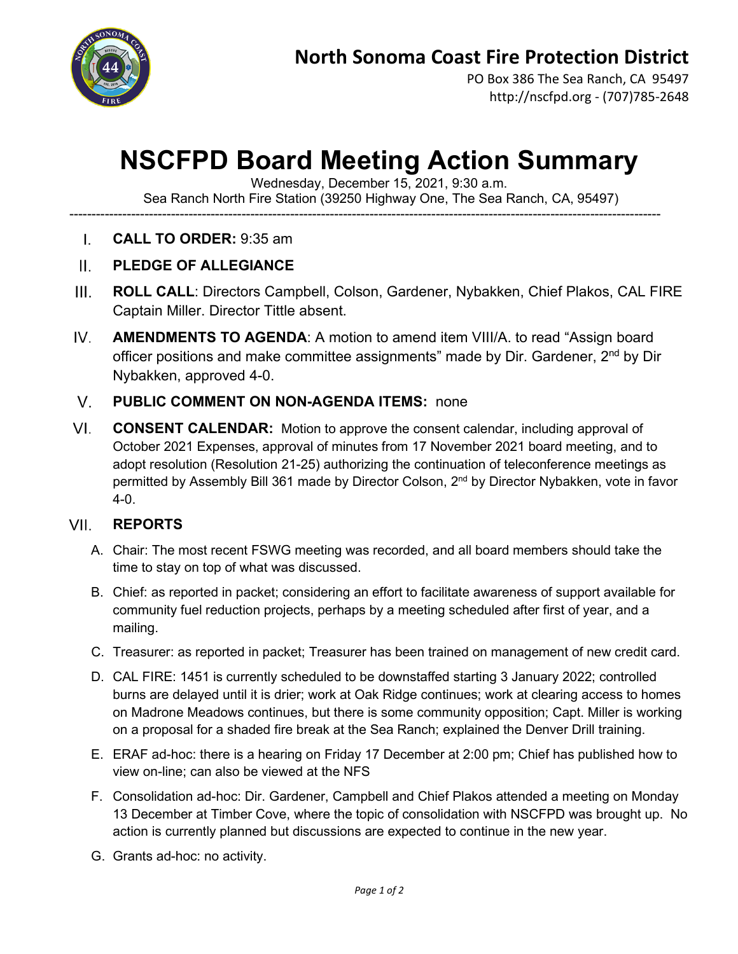

PO Box 386 The Sea Ranch, CA 95497 http://nscfpd.org - (707)785-2648

# **NSCFPD Board Meeting Action Summary**

Wednesday, December 15, 2021, 9:30 a.m.

Sea Ranch North Fire Station (39250 Highway One, The Sea Ranch, CA, 95497)

--------------------------------------------------------------------------------------------------------------------------------------

- **CALL TO ORDER:** 9:35 am  $\mathbf{L}$
- $\Pi$ . **PLEDGE OF ALLEGIANCE**
- $III.$ **ROLL CALL**: Directors Campbell, Colson, Gardener, Nybakken, Chief Plakos, CAL FIRE Captain Miller. Director Tittle absent.
- $IV.$ **AMENDMENTS TO AGENDA**: A motion to amend item VIII/A. to read "Assign board officer positions and make committee assignments" made by Dir. Gardener, 2<sup>nd</sup> by Dir Nybakken, approved 4-0.

#### $V_{\perp}$ **PUBLIC COMMENT ON NON-AGENDA ITEMS:** none

 $VI.$ **CONSENT CALENDAR:** Motion to approve the consent calendar, including approval of October 2021 Expenses, approval of minutes from 17 November 2021 board meeting, and to adopt resolution (Resolution 21-25) authorizing the continuation of teleconference meetings as permitted by Assembly Bill 361 made by Director Colson, 2<sup>nd</sup> by Director Nybakken, vote in favor 4-0.

#### VII. **REPORTS**

- A. Chair: The most recent FSWG meeting was recorded, and all board members should take the time to stay on top of what was discussed.
- B. Chief: as reported in packet; considering an effort to facilitate awareness of support available for community fuel reduction projects, perhaps by a meeting scheduled after first of year, and a mailing.
- C. Treasurer: as reported in packet; Treasurer has been trained on management of new credit card.
- D. CAL FIRE: 1451 is currently scheduled to be downstaffed starting 3 January 2022; controlled burns are delayed until it is drier; work at Oak Ridge continues; work at clearing access to homes on Madrone Meadows continues, but there is some community opposition; Capt. Miller is working on a proposal for a shaded fire break at the Sea Ranch; explained the Denver Drill training.
- E. ERAF ad-hoc: there is a hearing on Friday 17 December at 2:00 pm; Chief has published how to view on-line; can also be viewed at the NFS
- F. Consolidation ad-hoc: Dir. Gardener, Campbell and Chief Plakos attended a meeting on Monday 13 December at Timber Cove, where the topic of consolidation with NSCFPD was brought up. No action is currently planned but discussions are expected to continue in the new year.
- G. Grants ad-hoc: no activity.